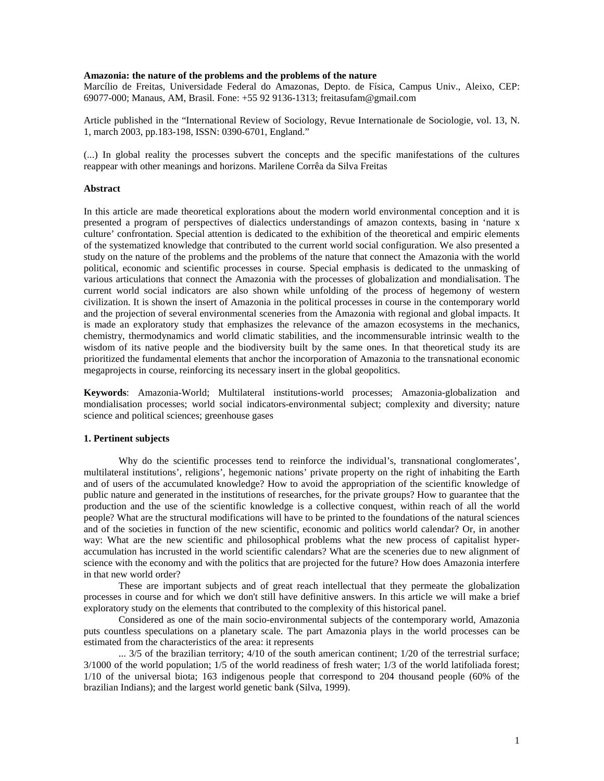## **Amazonia: the nature of the problems and the problems of the nature**

Marcílio de Freitas, Universidade Federal do Amazonas, Depto. de Física, Campus Univ., Aleixo, CEP: 69077-000; Manaus, AM, Brasil. Fone: +55 92 9136-1313; freitasufam@gmail.com

Article published in the "International Review of Sociology, Revue Internationale de Sociologie, vol. 13, N. 1, march 2003, pp.183-198, ISSN: 0390-6701, England."

(...) In global reality the processes subvert the concepts and the specific manifestations of the cultures reappear with other meanings and horizons. Marilene Corrêa da Silva Freitas

### **Abstract**

In this article are made theoretical explorations about the modern world environmental conception and it is presented a program of perspectives of dialectics understandings of amazon contexts, basing in 'nature x culture' confrontation. Special attention is dedicated to the exhibition of the theoretical and empiric elements of the systematized knowledge that contributed to the current world social configuration. We also presented a study on the nature of the problems and the problems of the nature that connect the Amazonia with the world political, economic and scientific processes in course. Special emphasis is dedicated to the unmasking of various articulations that connect the Amazonia with the processes of globalization and mondialisation. The current world social indicators are also shown while unfolding of the process of hegemony of western civilization. It is shown the insert of Amazonia in the political processes in course in the contemporary world and the projection of several environmental sceneries from the Amazonia with regional and global impacts. It is made an exploratory study that emphasizes the relevance of the amazon ecosystems in the mechanics, chemistry, thermodynamics and world climatic stabilities, and the incommensurable intrinsic wealth to the wisdom of its native people and the biodiversity built by the same ones. In that theoretical study its are prioritized the fundamental elements that anchor the incorporation of Amazonia to the transnational economic megaprojects in course, reinforcing its necessary insert in the global geopolitics.

**Keywords**: Amazonia-World; Multilateral institutions-world processes; Amazonia-globalization and mondialisation processes; world social indicators-environmental subject; complexity and diversity; nature science and political sciences; greenhouse gases

# **1. Pertinent subjects**

Why do the scientific processes tend to reinforce the individual's, transnational conglomerates', multilateral institutions', religions', hegemonic nations' private property on the right of inhabiting the Earth and of users of the accumulated knowledge? How to avoid the appropriation of the scientific knowledge of public nature and generated in the institutions of researches, for the private groups? How to guarantee that the production and the use of the scientific knowledge is a collective conquest, within reach of all the world people? What are the structural modifications will have to be printed to the foundations of the natural sciences and of the societies in function of the new scientific, economic and politics world calendar? Or, in another way: What are the new scientific and philosophical problems what the new process of capitalist hyperaccumulation has incrusted in the world scientific calendars? What are the sceneries due to new alignment of science with the economy and with the politics that are projected for the future? How does Amazonia interfere in that new world order?

These are important subjects and of great reach intellectual that they permeate the globalization processes in course and for which we don't still have definitive answers. In this article we will make a brief exploratory study on the elements that contributed to the complexity of this historical panel.

Considered as one of the main socio-environmental subjects of the contemporary world, Amazonia puts countless speculations on a planetary scale. The part Amazonia plays in the world processes can be estimated from the characteristics of the area: it represents

... 3/5 of the brazilian territory; 4/10 of the south american continent; 1/20 of the terrestrial surface; 3/1000 of the world population; 1/5 of the world readiness of fresh water; 1/3 of the world latifoliada forest; 1/10 of the universal biota; 163 indigenous people that correspond to 204 thousand people (60% of the brazilian Indians); and the largest world genetic bank (Silva, 1999).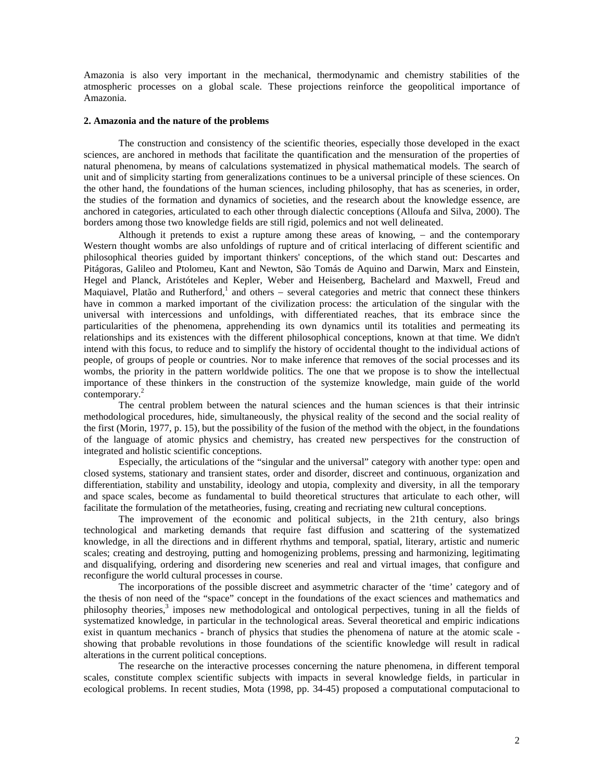Amazonia is also very important in the mechanical, thermodynamic and chemistry stabilities of the atmospheric processes on a global scale. These projections reinforce the geopolitical importance of Amazonia.

## **2. Amazonia and the nature of the problems**

The construction and consistency of the scientific theories, especially those developed in the exact sciences, are anchored in methods that facilitate the quantification and the mensuration of the properties of natural phenomena, by means of calculations systematized in physical mathematical models. The search of unit and of simplicity starting from generalizations continues to be a universal principle of these sciences. On the other hand, the foundations of the human sciences, including philosophy, that has as sceneries, in order, the studies of the formation and dynamics of societies, and the research about the knowledge essence, are anchored in categories, articulated to each other through dialectic conceptions (Alloufa and Silva, 2000). The borders among those two knowledge fields are still rigid, polemics and not well delineated.

Although it pretends to exist a rupture among these areas of knowing, − and the contemporary Western thought wombs are also unfoldings of rupture and of critical interlacing of different scientific and philosophical theories guided by important thinkers' conceptions, of the which stand out: Descartes and Pitágoras, Galileo and Ptolomeu, Kant and Newton, São Tomás de Aquino and Darwin, Marx and Einstein, Hegel and Planck, Aristóteles and Kepler, Weber and Heisenberg, Bachelard and Maxwell, Freud and Maquiavel, Platão and Rutherford,<sup>1</sup> and others – several categories and metric that connect these thinkers have in common a marked important of the civilization process: the articulation of the singular with the universal with intercessions and unfoldings, with differentiated reaches, that its embrace since the particularities of the phenomena, apprehending its own dynamics until its totalities and permeating its relationships and its existences with the different philosophical conceptions, known at that time. We didn't intend with this focus, to reduce and to simplify the history of occidental thought to the individual actions of people, of groups of people or countries. Nor to make inference that removes of the social processes and its wombs, the priority in the pattern worldwide politics. The one that we propose is to show the intellectual importance of these thinkers in the construction of the systemize knowledge, main guide of the world contemporary.<sup>2</sup>

The central problem between the natural sciences and the human sciences is that their intrinsic methodological procedures, hide, simultaneously, the physical reality of the second and the social reality of the first (Morin, 1977, p. 15), but the possibility of the fusion of the method with the object, in the foundations of the language of atomic physics and chemistry, has created new perspectives for the construction of integrated and holistic scientific conceptions.

Especially, the articulations of the "singular and the universal" category with another type: open and closed systems, stationary and transient states, order and disorder, discreet and continuous, organization and differentiation, stability and unstability, ideology and utopia, complexity and diversity, in all the temporary and space scales, become as fundamental to build theoretical structures that articulate to each other, will facilitate the formulation of the metatheories, fusing, creating and recriating new cultural conceptions.

The improvement of the economic and political subjects, in the 21th century, also brings technological and marketing demands that require fast diffusion and scattering of the systematized knowledge, in all the directions and in different rhythms and temporal, spatial, literary, artistic and numeric scales; creating and destroying, putting and homogenizing problems, pressing and harmonizing, legitimating and disqualifying, ordering and disordering new sceneries and real and virtual images, that configure and reconfigure the world cultural processes in course.

The incorporations of the possible discreet and asymmetric character of the 'time' category and of the thesis of non need of the "space" concept in the foundations of the exact sciences and mathematics and philosophy theories,<sup>3</sup> imposes new methodological and ontological perpectives, tuning in all the fields of systematized knowledge, in particular in the technological areas. Several theoretical and empiric indications exist in quantum mechanics - branch of physics that studies the phenomena of nature at the atomic scale showing that probable revolutions in those foundations of the scientific knowledge will result in radical alterations in the current political conceptions.

The researche on the interactive processes concerning the nature phenomena, in different temporal scales, constitute complex scientific subjects with impacts in several knowledge fields, in particular in ecological problems. In recent studies, Mota (1998, pp. 34-45) proposed a computational computacional to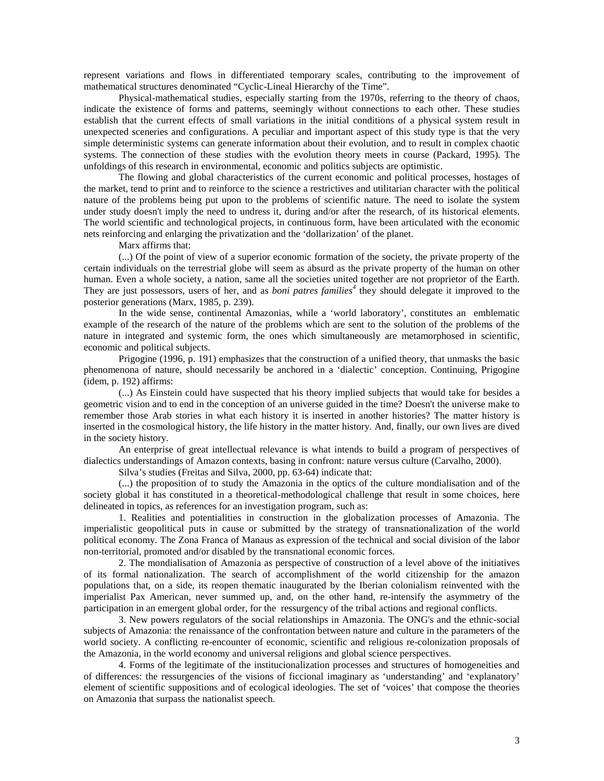represent variations and flows in differentiated temporary scales, contributing to the improvement of mathematical structures denominated "Cyclic-Lineal Hierarchy of the Time".

Physical-mathematical studies, especially starting from the 1970s, referring to the theory of chaos, indicate the existence of forms and patterns, seemingly without connections to each other. These studies establish that the current effects of small variations in the initial conditions of a physical system result in unexpected sceneries and configurations. A peculiar and important aspect of this study type is that the very simple deterministic systems can generate information about their evolution, and to result in complex chaotic systems. The connection of these studies with the evolution theory meets in course (Packard, 1995). The unfoldings of this research in environmental, economic and politics subjects are optimistic.

The flowing and global characteristics of the current economic and political processes, hostages of the market, tend to print and to reinforce to the science a restrictives and utilitarian character with the political nature of the problems being put upon to the problems of scientific nature. The need to isolate the system under study doesn't imply the need to undress it, during and/or after the research, of its historical elements. The world scientific and technological projects, in continuous form, have been articulated with the economic nets reinforcing and enlarging the privatization and the 'dollarization' of the planet.

Marx affirms that:

(...) Of the point of view of a superior economic formation of the society, the private property of the certain individuals on the terrestrial globe will seem as absurd as the private property of the human on other human. Even a whole society, a nation, same all the societies united together are not proprietor of the Earth. They are just possessors, users of her, and as *boni patres families<sup>4</sup>* they should delegate it improved to the posterior generations (Marx, 1985, p. 239).

In the wide sense, continental Amazonias, while a 'world laboratory', constitutes an emblematic example of the research of the nature of the problems which are sent to the solution of the problems of the nature in integrated and systemic form, the ones which simultaneously are metamorphosed in scientific, economic and political subjects.

Prigogine (1996, p. 191) emphasizes that the construction of a unified theory, that unmasks the basic phenomenona of nature, should necessarily be anchored in a 'dialectic' conception. Continuing, Prigogine (idem, p. 192) affirms:

(...) As Einstein could have suspected that his theory implied subjects that would take for besides a geometric vision and to end in the conception of an universe guided in the time? Doesn't the universe make to remember those Arab stories in what each history it is inserted in another histories? The matter history is inserted in the cosmological history, the life history in the matter history. And, finally, our own lives are dived in the society history.

An enterprise of great intellectual relevance is what intends to build a program of perspectives of dialectics understandings of Amazon contexts, basing in confront: nature versus culture (Carvalho, 2000).

Silva's studies (Freitas and Silva, 2000, pp. 63-64) indicate that:

(...) the proposition of to study the Amazonia in the optics of the culture mondialisation and of the society global it has constituted in a theoretical-methodological challenge that result in some choices, here delineated in topics, as references for an investigation program, such as:

1. Realities and potentialities in construction in the globalization processes of Amazonia. The imperialistic geopolitical puts in cause or submitted by the strategy of transnationalization of the world political economy. The Zona Franca of Manaus as expression of the technical and social division of the labor non-territorial, promoted and/or disabled by the transnational economic forces.

2. The mondialisation of Amazonia as perspective of construction of a level above of the initiatives of its formal nationalization. The search of accomplishment of the world citizenship for the amazon populations that, on a side, its reopen thematic inaugurated by the Iberian colonialism reinvented with the imperialist Pax American, never summed up, and, on the other hand, re-intensify the asymmetry of the participation in an emergent global order, for the ressurgency of the tribal actions and regional conflicts.

3. New powers regulators of the social relationships in Amazonia. The ONG's and the ethnic-social subjects of Amazonia: the renaissance of the confrontation between nature and culture in the parameters of the world society. A conflicting re-encounter of economic, scientific and religious re-colonization proposals of the Amazonia, in the world economy and universal religions and global science perspectives.

4. Forms of the legitimate of the institucionalization processes and structures of homogeneities and of differences: the ressurgencies of the visions of ficcional imaginary as 'understanding' and 'explanatory' element of scientific suppositions and of ecological ideologies. The set of 'voices' that compose the theories on Amazonia that surpass the nationalist speech.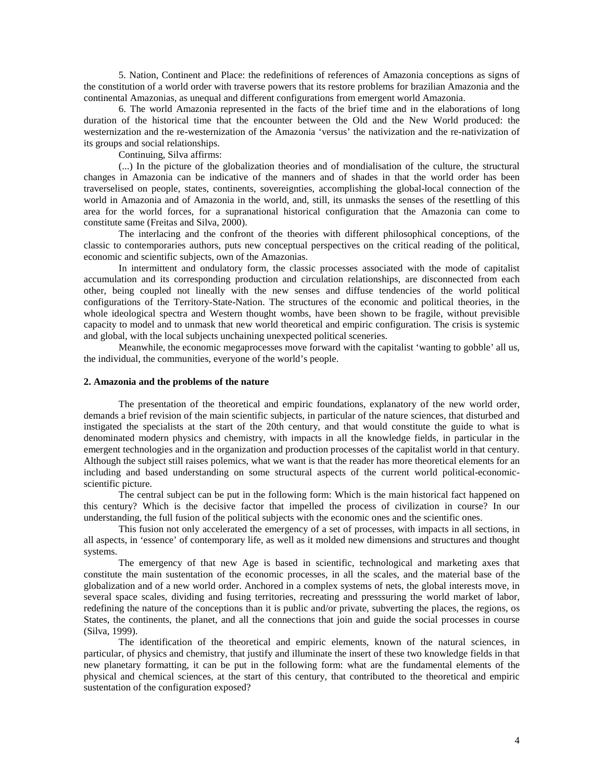5. Nation, Continent and Place: the redefinitions of references of Amazonia conceptions as signs of the constitution of a world order with traverse powers that its restore problems for brazilian Amazonia and the continental Amazonias, as unequal and different configurations from emergent world Amazonia.

6. The world Amazonia represented in the facts of the brief time and in the elaborations of long duration of the historical time that the encounter between the Old and the New World produced: the westernization and the re-westernization of the Amazonia 'versus' the nativization and the re-nativization of its groups and social relationships.

Continuing, Silva affirms:

(...) In the picture of the globalization theories and of mondialisation of the culture, the structural changes in Amazonia can be indicative of the manners and of shades in that the world order has been traverselised on people, states, continents, sovereignties, accomplishing the global-local connection of the world in Amazonia and of Amazonia in the world, and, still, its unmasks the senses of the resettling of this area for the world forces, for a supranational historical configuration that the Amazonia can come to constitute same (Freitas and Silva, 2000).

The interlacing and the confront of the theories with different philosophical conceptions, of the classic to contemporaries authors, puts new conceptual perspectives on the critical reading of the political, economic and scientific subjects, own of the Amazonias.

In intermittent and ondulatory form, the classic processes associated with the mode of capitalist accumulation and its corresponding production and circulation relationships, are disconnected from each other, being coupled not lineally with the new senses and diffuse tendencies of the world political configurations of the Territory-State-Nation. The structures of the economic and political theories, in the whole ideological spectra and Western thought wombs, have been shown to be fragile, without previsible capacity to model and to unmask that new world theoretical and empiric configuration. The crisis is systemic and global, with the local subjects unchaining unexpected political sceneries.

Meanwhile, the economic megaprocesses move forward with the capitalist 'wanting to gobble' all us, the individual, the communities, everyone of the world's people.

### **2. Amazonia and the problems of the nature**

The presentation of the theoretical and empiric foundations, explanatory of the new world order, demands a brief revision of the main scientific subjects, in particular of the nature sciences, that disturbed and instigated the specialists at the start of the 20th century, and that would constitute the guide to what is denominated modern physics and chemistry, with impacts in all the knowledge fields, in particular in the emergent technologies and in the organization and production processes of the capitalist world in that century. Although the subject still raises polemics, what we want is that the reader has more theoretical elements for an including and based understanding on some structural aspects of the current world political-economicscientific picture.

The central subject can be put in the following form: Which is the main historical fact happened on this century? Which is the decisive factor that impelled the process of civilization in course? In our understanding, the full fusion of the political subjects with the economic ones and the scientific ones.

This fusion not only accelerated the emergency of a set of processes, with impacts in all sections, in all aspects, in 'essence' of contemporary life, as well as it molded new dimensions and structures and thought systems.

The emergency of that new Age is based in scientific, technological and marketing axes that constitute the main sustentation of the economic processes, in all the scales, and the material base of the globalization and of a new world order. Anchored in a complex systems of nets, the global interests move, in several space scales, dividing and fusing territories, recreating and presssuring the world market of labor, redefining the nature of the conceptions than it is public and/or private, subverting the places, the regions, os States, the continents, the planet, and all the connections that join and guide the social processes in course (Silva, 1999).

The identification of the theoretical and empiric elements, known of the natural sciences, in particular, of physics and chemistry, that justify and illuminate the insert of these two knowledge fields in that new planetary formatting, it can be put in the following form: what are the fundamental elements of the physical and chemical sciences, at the start of this century, that contributed to the theoretical and empiric sustentation of the configuration exposed?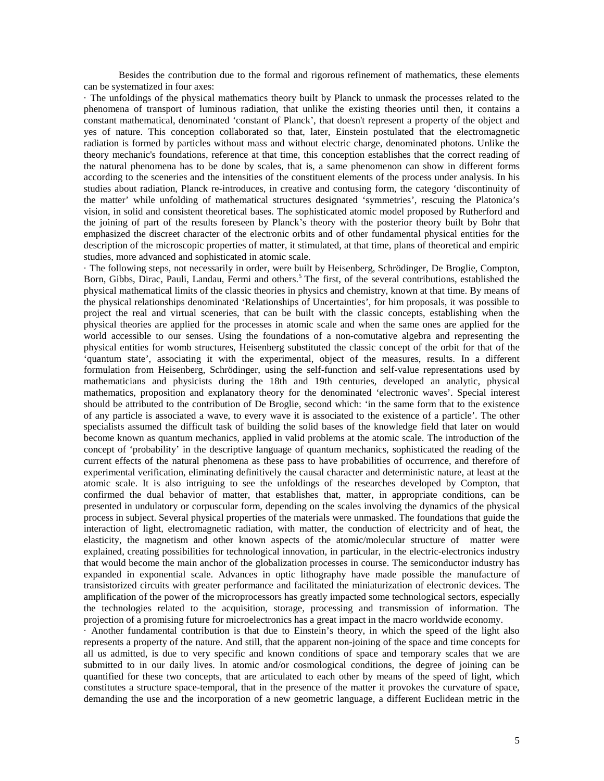Besides the contribution due to the formal and rigorous refinement of mathematics, these elements can be systematized in four axes:

· The unfoldings of the physical mathematics theory built by Planck to unmask the processes related to the phenomena of transport of luminous radiation, that unlike the existing theories until then, it contains a constant mathematical, denominated 'constant of Planck', that doesn't represent a property of the object and yes of nature. This conception collaborated so that, later, Einstein postulated that the electromagnetic radiation is formed by particles without mass and without electric charge, denominated photons. Unlike the theory mechanic's foundations, reference at that time, this conception establishes that the correct reading of the natural phenomena has to be done by scales, that is, a same phenomenon can show in different forms according to the sceneries and the intensities of the constituent elements of the process under analysis. In his studies about radiation, Planck re-introduces, in creative and contusing form, the category 'discontinuity of the matter' while unfolding of mathematical structures designated 'symmetries', rescuing the Platonica's vision, in solid and consistent theoretical bases. The sophisticated atomic model proposed by Rutherford and the joining of part of the results foreseen by Planck's theory with the posterior theory built by Bohr that emphasized the discreet character of the electronic orbits and of other fundamental physical entities for the description of the microscopic properties of matter, it stimulated, at that time, plans of theoretical and empiric studies, more advanced and sophisticated in atomic scale.

· The following steps, not necessarily in order, were built by Heisenberg, Schrödinger, De Broglie, Compton, Born, Gibbs, Dirac, Pauli, Landau, Fermi and others.<sup>5</sup> The first, of the several contributions, established the physical mathematical limits of the classic theories in physics and chemistry, known at that time. By means of the physical relationships denominated 'Relationships of Uncertainties', for him proposals, it was possible to project the real and virtual sceneries, that can be built with the classic concepts, establishing when the physical theories are applied for the processes in atomic scale and when the same ones are applied for the world accessible to our senses. Using the foundations of a non-comutative algebra and representing the physical entities for womb structures, Heisenberg substituted the classic concept of the orbit for that of the 'quantum state', associating it with the experimental, object of the measures, results. In a different formulation from Heisenberg, Schrödinger, using the self-function and self-value representations used by mathematicians and physicists during the 18th and 19th centuries, developed an analytic, physical mathematics, proposition and explanatory theory for the denominated 'electronic waves'. Special interest should be attributed to the contribution of De Broglie, second which: 'in the same form that to the existence of any particle is associated a wave, to every wave it is associated to the existence of a particle'. The other specialists assumed the difficult task of building the solid bases of the knowledge field that later on would become known as quantum mechanics, applied in valid problems at the atomic scale. The introduction of the concept of 'probability' in the descriptive language of quantum mechanics, sophisticated the reading of the current effects of the natural phenomena as these pass to have probabilities of occurrence, and therefore of experimental verification, eliminating definitively the causal character and deterministic nature, at least at the atomic scale. It is also intriguing to see the unfoldings of the researches developed by Compton, that confirmed the dual behavior of matter, that establishes that, matter, in appropriate conditions, can be presented in undulatory or corpuscular form, depending on the scales involving the dynamics of the physical process in subject. Several physical properties of the materials were unmasked. The foundations that guide the interaction of light, electromagnetic radiation, with matter, the conduction of electricity and of heat, the elasticity, the magnetism and other known aspects of the atomic/molecular structure of matter were explained, creating possibilities for technological innovation, in particular, in the electric-electronics industry that would become the main anchor of the globalization processes in course. The semiconductor industry has expanded in exponential scale. Advances in optic lithography have made possible the manufacture of transistorized circuits with greater performance and facilitated the miniaturization of electronic devices. The amplification of the power of the microprocessors has greatly impacted some technological sectors, especially the technologies related to the acquisition, storage, processing and transmission of information. The projection of a promising future for microelectronics has a great impact in the macro worldwide economy.

· Another fundamental contribution is that due to Einstein's theory, in which the speed of the light also represents a property of the nature. And still, that the apparent non-joining of the space and time concepts for all us admitted, is due to very specific and known conditions of space and temporary scales that we are submitted to in our daily lives. In atomic and/or cosmological conditions, the degree of joining can be quantified for these two concepts, that are articulated to each other by means of the speed of light, which constitutes a structure space-temporal, that in the presence of the matter it provokes the curvature of space, demanding the use and the incorporation of a new geometric language, a different Euclidean metric in the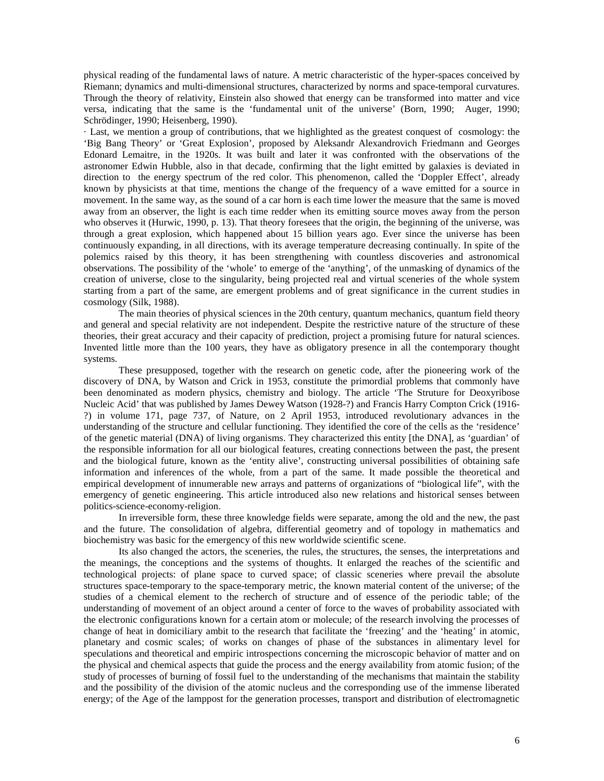physical reading of the fundamental laws of nature. A metric characteristic of the hyper-spaces conceived by Riemann; dynamics and multi-dimensional structures, characterized by norms and space-temporal curvatures. Through the theory of relativity, Einstein also showed that energy can be transformed into matter and vice versa, indicating that the same is the 'fundamental unit of the universe' (Born, 1990; Auger, 1990; Schrödinger, 1990; Heisenberg, 1990).

· Last, we mention a group of contributions, that we highlighted as the greatest conquest of cosmology: the 'Big Bang Theory' or 'Great Explosion', proposed by Aleksandr Alexandrovich Friedmann and Georges Edonard Lemaitre, in the 1920s. It was built and later it was confronted with the observations of the astronomer Edwin Hubble, also in that decade, confirming that the light emitted by galaxies is deviated in direction to the energy spectrum of the red color. This phenomenon, called the 'Doppler Effect', already known by physicists at that time, mentions the change of the frequency of a wave emitted for a source in movement. In the same way, as the sound of a car horn is each time lower the measure that the same is moved away from an observer, the light is each time redder when its emitting source moves away from the person who observes it (Hurwic, 1990, p. 13). That theory foresees that the origin, the beginning of the universe, was through a great explosion, which happened about 15 billion years ago. Ever since the universe has been continuously expanding, in all directions, with its average temperature decreasing continually. In spite of the polemics raised by this theory, it has been strengthening with countless discoveries and astronomical observations. The possibility of the 'whole' to emerge of the 'anything', of the unmasking of dynamics of the creation of universe, close to the singularity, being projected real and virtual sceneries of the whole system starting from a part of the same, are emergent problems and of great significance in the current studies in cosmology (Silk, 1988).

The main theories of physical sciences in the 20th century, quantum mechanics, quantum field theory and general and special relativity are not independent. Despite the restrictive nature of the structure of these theories, their great accuracy and their capacity of prediction, project a promising future for natural sciences. Invented little more than the 100 years, they have as obligatory presence in all the contemporary thought systems.

These presupposed, together with the research on genetic code, after the pioneering work of the discovery of DNA, by Watson and Crick in 1953, constitute the primordial problems that commonly have been denominated as modern physics, chemistry and biology. The article 'The Struture for Deoxyribose Nucleic Acid' that was published by James Dewey Watson (1928-?) and Francis Harry Compton Crick (1916- ?) in volume 171, page 737, of Nature, on 2 April 1953, introduced revolutionary advances in the understanding of the structure and cellular functioning. They identified the core of the cells as the 'residence' of the genetic material (DNA) of living organisms. They characterized this entity [the DNA], as 'guardian' of the responsible information for all our biological features, creating connections between the past, the present and the biological future, known as the 'entity alive', constructing universal possibilities of obtaining safe information and inferences of the whole, from a part of the same. It made possible the theoretical and empirical development of innumerable new arrays and patterns of organizations of "biological life", with the emergency of genetic engineering. This article introduced also new relations and historical senses between politics-science-economy-religion.

In irreversible form, these three knowledge fields were separate, among the old and the new, the past and the future. The consolidation of algebra, differential geometry and of topology in mathematics and biochemistry was basic for the emergency of this new worldwide scientific scene.

Its also changed the actors, the sceneries, the rules, the structures, the senses, the interpretations and the meanings, the conceptions and the systems of thoughts. It enlarged the reaches of the scientific and technological projects: of plane space to curved space; of classic sceneries where prevail the absolute structures space-temporary to the space-temporary metric, the known material content of the universe; of the studies of a chemical element to the recherch of structure and of essence of the periodic table; of the understanding of movement of an object around a center of force to the waves of probability associated with the electronic configurations known for a certain atom or molecule; of the research involving the processes of change of heat in domiciliary ambit to the research that facilitate the 'freezing' and the 'heating' in atomic, planetary and cosmic scales; of works on changes of phase of the substances in alimentary level for speculations and theoretical and empiric introspections concerning the microscopic behavior of matter and on the physical and chemical aspects that guide the process and the energy availability from atomic fusion; of the study of processes of burning of fossil fuel to the understanding of the mechanisms that maintain the stability and the possibility of the division of the atomic nucleus and the corresponding use of the immense liberated energy; of the Age of the lamppost for the generation processes, transport and distribution of electromagnetic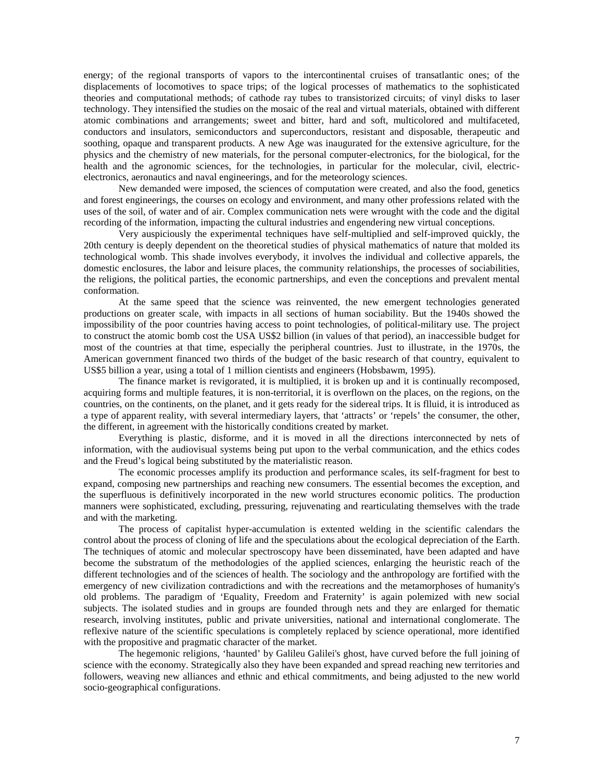energy; of the regional transports of vapors to the intercontinental cruises of transatlantic ones; of the displacements of locomotives to space trips; of the logical processes of mathematics to the sophisticated theories and computational methods; of cathode ray tubes to transistorized circuits; of vinyl disks to laser technology. They intensified the studies on the mosaic of the real and virtual materials, obtained with different atomic combinations and arrangements; sweet and bitter, hard and soft, multicolored and multifaceted, conductors and insulators, semiconductors and superconductors, resistant and disposable, therapeutic and soothing, opaque and transparent products. A new Age was inaugurated for the extensive agriculture, for the physics and the chemistry of new materials, for the personal computer-electronics, for the biological, for the health and the agronomic sciences, for the technologies, in particular for the molecular, civil, electricelectronics, aeronautics and naval engineerings, and for the meteorology sciences.

New demanded were imposed, the sciences of computation were created, and also the food, genetics and forest engineerings, the courses on ecology and environment, and many other professions related with the uses of the soil, of water and of air. Complex communication nets were wrought with the code and the digital recording of the information, impacting the cultural industries and engendering new virtual conceptions.

Very auspiciously the experimental techniques have self-multiplied and self-improved quickly, the 20th century is deeply dependent on the theoretical studies of physical mathematics of nature that molded its technological womb. This shade involves everybody, it involves the individual and collective apparels, the domestic enclosures, the labor and leisure places, the community relationships, the processes of sociabilities, the religions, the political parties, the economic partnerships, and even the conceptions and prevalent mental conformation.

At the same speed that the science was reinvented, the new emergent technologies generated productions on greater scale, with impacts in all sections of human sociability. But the 1940s showed the impossibility of the poor countries having access to point technologies, of political-military use. The project to construct the atomic bomb cost the USA US\$2 billion (in values of that period), an inaccessible budget for most of the countries at that time, especially the peripheral countries. Just to illustrate, in the 1970s, the American government financed two thirds of the budget of the basic research of that country, equivalent to US\$5 billion a year, using a total of 1 million cientists and engineers (Hobsbawm, 1995).

The finance market is revigorated, it is multiplied, it is broken up and it is continually recomposed, acquiring forms and multiple features, it is non-territorial, it is overflown on the places, on the regions, on the countries, on the continents, on the planet, and it gets ready for the sidereal trips. It is flluid, it is introduced as a type of apparent reality, with several intermediary layers, that 'attracts' or 'repels' the consumer, the other, the different, in agreement with the historically conditions created by market.

Everything is plastic, disforme, and it is moved in all the directions interconnected by nets of information, with the audiovisual systems being put upon to the verbal communication, and the ethics codes and the Freud's logical being substituted by the materialistic reason.

The economic processes amplify its production and performance scales, its self-fragment for best to expand, composing new partnerships and reaching new consumers. The essential becomes the exception, and the superfluous is definitively incorporated in the new world structures economic politics. The production manners were sophisticated, excluding, pressuring, rejuvenating and rearticulating themselves with the trade and with the marketing.

The process of capitalist hyper-accumulation is extented welding in the scientific calendars the control about the process of cloning of life and the speculations about the ecological depreciation of the Earth. The techniques of atomic and molecular spectroscopy have been disseminated, have been adapted and have become the substratum of the methodologies of the applied sciences, enlarging the heuristic reach of the different technologies and of the sciences of health. The sociology and the anthropology are fortified with the emergency of new civilization contradictions and with the recreations and the metamorphoses of humanity's old problems. The paradigm of 'Equality, Freedom and Fraternity' is again polemized with new social subjects. The isolated studies and in groups are founded through nets and they are enlarged for thematic research, involving institutes, public and private universities, national and international conglomerate. The reflexive nature of the scientific speculations is completely replaced by science operational, more identified with the propositive and pragmatic character of the market.

The hegemonic religions, 'haunted' by Galileu Galilei's ghost, have curved before the full joining of science with the economy. Strategically also they have been expanded and spread reaching new territories and followers, weaving new alliances and ethnic and ethical commitments, and being adjusted to the new world socio-geographical configurations.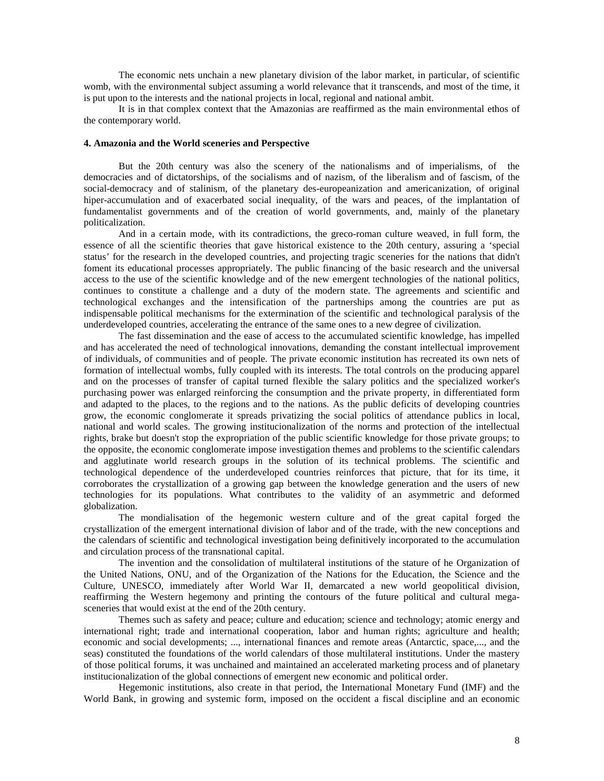The economic nets unchain a new planetary division of the labor market, in particular, of scientific womb, with the environmental subject assuming a world relevance that it transcends, and most of the time, it is put upon to the interests and the national projects in local, regional and national ambit.

It is in that complex context that the Amazonias are reaffirmed as the main environmental ethos of the contemporary world.

#### **4. Amazonia and the World sceneries and Perspective**

But the 20th century was also the scenery of the nationalisms and of imperialisms, of the democracies and of dictatorships, of the socialisms and of nazism, of the liberalism and of fascism, of the social-democracy and of stalinism, of the planetary des-europeanization and americanization, of original hiper-accumulation and of exacerbated social inequality, of the wars and peaces, of the implantation of fundamentalist governments and of the creation of world governments, and, mainly of the planetary politicalization.

And in a certain mode, with its contradictions, the greco-roman culture weaved, in full form, the essence of all the scientific theories that gave historical existence to the 20th century, assuring a 'special status' for the research in the developed countries, and projecting tragic sceneries for the nations that didn't foment its educational processes appropriately. The public financing of the basic research and the universal access to the use of the scientific knowledge and of the new emergent technologies of the national politics, continues to constitute a challenge and a duty of the modern state. The agreements and scientific and technological exchanges and the intensification of the partnerships among the countries are put as indispensable political mechanisms for the extermination of the scientific and technological paralysis of the underdeveloped countries, accelerating the entrance of the same ones to a new degree of civilization.

The fast dissemination and the ease of access to the accumulated scientific knowledge, has impelled and has accelerated the need of technological innovations, demanding the constant intellectual improvement of individuals, of communities and of people. The private economic institution has recreated its own nets of formation of intellectual wombs, fully coupled with its interests. The total controls on the producing apparel and on the processes of transfer of capital turned flexible the salary politics and the specialized worker's purchasing power was enlarged reinforcing the consumption and the private property, in differentiated form and adapted to the places, to the regions and to the nations. As the public deficits of developing countries grow, the economic conglomerate it spreads privatizing the social politics of attendance publics in local, national and world scales. The growing institucionalization of the norms and protection of the intellectual rights, brake but doesn't stop the expropriation of the public scientific knowledge for those private groups; to the opposite, the economic conglomerate impose investigation themes and problems to the scientific calendars and agglutinate world research groups in the solution of its technical problems. The scientific and technological dependence of the underdeveloped countries reinforces that picture, that for its time, it corroborates the crystallization of a growing gap between the knowledge generation and the users of new technologies for its populations. What contributes to the validity of an asymmetric and deformed globalization.

The mondialisation of the hegemonic western culture and of the great capital forged the crystallization of the emergent international division of labor and of the trade, with the new conceptions and the calendars of scientific and technological investigation being definitively incorporated to the accumulation and circulation process of the transnational capital.

The invention and the consolidation of multilateral institutions of the stature of he Organization of the United Nations, ONU, and of the Organization of the Nations for the Education, the Science and the Culture, UNESCO, immediately after World War II, demarcated a new world geopolitical division, reaffirming the Western hegemony and printing the contours of the future political and cultural megasceneries that would exist at the end of the 20th century.

Themes such as safety and peace; culture and education; science and technology; atomic energy and international right; trade and international cooperation, labor and human rights; agriculture and health; economic and social developments; ..., international finances and remote areas (Antarctic, space,..., and the seas) constituted the foundations of the world calendars of those multilateral institutions. Under the mastery of those political forums, it was unchained and maintained an accelerated marketing process and of planetary institucionalization of the global connections of emergent new economic and political order.

Hegemonic institutions, also create in that period, the International Monetary Fund (IMF) and the World Bank, in growing and systemic form, imposed on the occident a fiscal discipline and an economic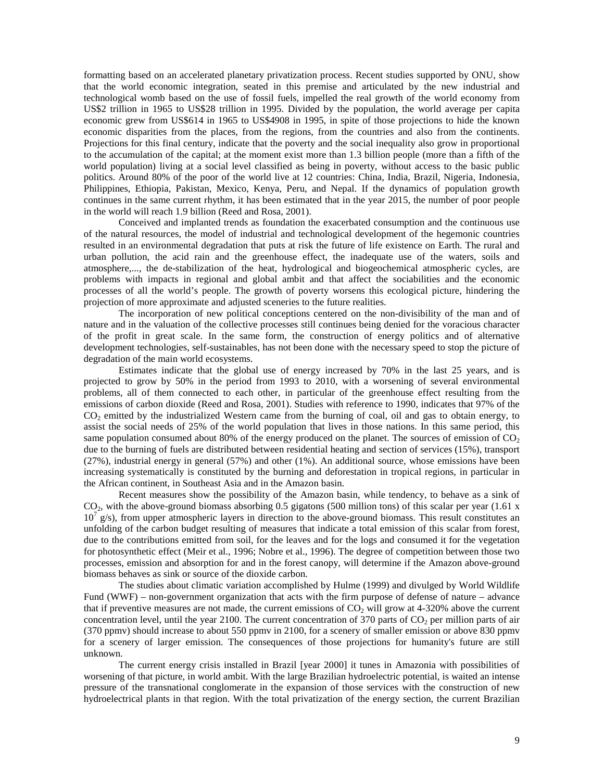formatting based on an accelerated planetary privatization process. Recent studies supported by ONU, show that the world economic integration, seated in this premise and articulated by the new industrial and technological womb based on the use of fossil fuels, impelled the real growth of the world economy from US\$2 trillion in 1965 to US\$28 trillion in 1995. Divided by the population, the world average per capita economic grew from US\$614 in 1965 to US\$4908 in 1995, in spite of those projections to hide the known economic disparities from the places, from the regions, from the countries and also from the continents. Projections for this final century, indicate that the poverty and the social inequality also grow in proportional to the accumulation of the capital; at the moment exist more than 1.3 billion people (more than a fifth of the world population) living at a social level classified as being in poverty, without access to the basic public politics. Around 80% of the poor of the world live at 12 countries: China, India, Brazil, Nigeria, Indonesia, Philippines, Ethiopia, Pakistan, Mexico, Kenya, Peru, and Nepal. If the dynamics of population growth continues in the same current rhythm, it has been estimated that in the year 2015, the number of poor people in the world will reach 1.9 billion (Reed and Rosa, 2001).

Conceived and implanted trends as foundation the exacerbated consumption and the continuous use of the natural resources, the model of industrial and technological development of the hegemonic countries resulted in an environmental degradation that puts at risk the future of life existence on Earth. The rural and urban pollution, the acid rain and the greenhouse effect, the inadequate use of the waters, soils and atmosphere,..., the de-stabilization of the heat, hydrological and biogeochemical atmospheric cycles, are problems with impacts in regional and global ambit and that affect the sociabilities and the economic processes of all the world's people. The growth of poverty worsens this ecological picture, hindering the projection of more approximate and adjusted sceneries to the future realities.

The incorporation of new political conceptions centered on the non-divisibility of the man and of nature and in the valuation of the collective processes still continues being denied for the voracious character of the profit in great scale. In the same form, the construction of energy politics and of alternative development technologies, self-sustainables, has not been done with the necessary speed to stop the picture of degradation of the main world ecosystems.

Estimates indicate that the global use of energy increased by 70% in the last 25 years, and is projected to grow by 50% in the period from 1993 to 2010, with a worsening of several environmental problems, all of them connected to each other, in particular of the greenhouse effect resulting from the emissions of carbon dioxide (Reed and Rosa, 2001). Studies with reference to 1990, indicates that 97% of the CO<sub>2</sub> emitted by the industrialized Western came from the burning of coal, oil and gas to obtain energy, to assist the social needs of 25% of the world population that lives in those nations. In this same period, this same population consumed about 80% of the energy produced on the planet. The sources of emission of  $CO<sub>2</sub>$ due to the burning of fuels are distributed between residential heating and section of services (15%), transport (27%), industrial energy in general (57%) and other (1%). An additional source, whose emissions have been increasing systematically is constituted by the burning and deforestation in tropical regions, in particular in the African continent, in Southeast Asia and in the Amazon basin.

Recent measures show the possibility of the Amazon basin, while tendency, to behave as a sink of  $CO<sub>2</sub>$ , with the above-ground biomass absorbing 0.5 gigatons (500 million tons) of this scalar per year (1.61 x  $10^7$  g/s), from upper atmospheric layers in direction to the above-ground biomass. This result constitutes an unfolding of the carbon budget resulting of measures that indicate a total emission of this scalar from forest, due to the contributions emitted from soil, for the leaves and for the logs and consumed it for the vegetation for photosynthetic effect (Meir et al., 1996; Nobre et al., 1996). The degree of competition between those two processes, emission and absorption for and in the forest canopy, will determine if the Amazon above-ground biomass behaves as sink or source of the dioxide carbon.

The studies about climatic variation accomplished by Hulme (1999) and divulged by World Wildlife Fund (WWF) – non-government organization that acts with the firm purpose of defense of nature – advance that if preventive measures are not made, the current emissions of  $CO<sub>2</sub>$  will grow at 4-320% above the current concentration level, until the year 2100. The current concentration of  $370$  parts of  $CO<sub>2</sub>$  per million parts of air (370 ppmv) should increase to about 550 ppmv in 2100, for a scenery of smaller emission or above 830 ppmv for a scenery of larger emission. The consequences of those projections for humanity's future are still unknown.

The current energy crisis installed in Brazil [year 2000] it tunes in Amazonia with possibilities of worsening of that picture, in world ambit. With the large Brazilian hydroelectric potential, is waited an intense pressure of the transnational conglomerate in the expansion of those services with the construction of new hydroelectrical plants in that region. With the total privatization of the energy section, the current Brazilian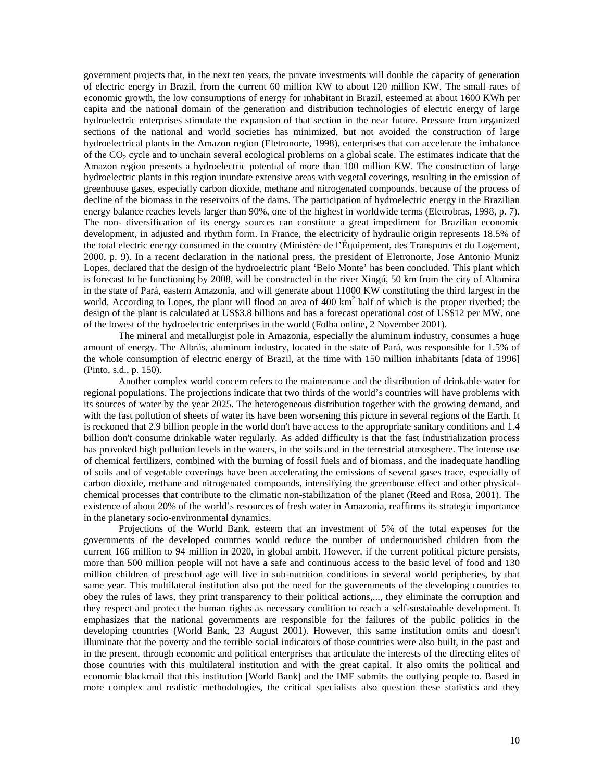government projects that, in the next ten years, the private investments will double the capacity of generation of electric energy in Brazil, from the current 60 million KW to about 120 million KW. The small rates of economic growth, the low consumptions of energy for inhabitant in Brazil, esteemed at about 1600 KWh per capita and the national domain of the generation and distribution technologies of electric energy of large hydroelectric enterprises stimulate the expansion of that section in the near future. Pressure from organized sections of the national and world societies has minimized, but not avoided the construction of large hydroelectrical plants in the Amazon region (Eletronorte, 1998), enterprises that can accelerate the imbalance of the  $CO<sub>2</sub>$  cycle and to unchain several ecological problems on a global scale. The estimates indicate that the Amazon region presents a hydroelectric potential of more than 100 million KW. The construction of large hydroelectric plants in this region inundate extensive areas with vegetal coverings, resulting in the emission of greenhouse gases, especially carbon dioxide, methane and nitrogenated compounds, because of the process of decline of the biomass in the reservoirs of the dams. The participation of hydroelectric energy in the Brazilian energy balance reaches levels larger than 90%, one of the highest in worldwide terms (Eletrobras, 1998, p. 7). The non- diversification of its energy sources can constitute a great impediment for Brazilian economic development, in adjusted and rhythm form. In France, the electricity of hydraulic origin represents 18.5% of the total electric energy consumed in the country (Ministère de l'Équipement, des Transports et du Logement, 2000, p. 9). In a recent declaration in the national press, the president of Eletronorte, Jose Antonio Muniz Lopes, declared that the design of the hydroelectric plant 'Belo Monte' has been concluded. This plant which is forecast to be functioning by 2008, will be constructed in the river Xingú, 50 km from the city of Altamira in the state of Pará, eastern Amazonia, and will generate about 11000 KW constituting the third largest in the world. According to Lopes, the plant will flood an area of 400 km<sup>2</sup> half of which is the proper riverbed; the design of the plant is calculated at US\$3.8 billions and has a forecast operational cost of US\$12 per MW, one of the lowest of the hydroelectric enterprises in the world (Folha online, 2 November 2001).

The mineral and metallurgist pole in Amazonia, especially the aluminum industry, consumes a huge amount of energy. The Albrás, aluminum industry, located in the state of Pará, was responsible for 1.5% of the whole consumption of electric energy of Brazil, at the time with 150 million inhabitants [data of 1996] (Pinto, s.d., p. 150).

Another complex world concern refers to the maintenance and the distribution of drinkable water for regional populations. The projections indicate that two thirds of the world's countries will have problems with its sources of water by the year 2025. The heterogeneous distribution together with the growing demand, and with the fast pollution of sheets of water its have been worsening this picture in several regions of the Earth. It is reckoned that 2.9 billion people in the world don't have access to the appropriate sanitary conditions and 1.4 billion don't consume drinkable water regularly. As added difficulty is that the fast industrialization process has provoked high pollution levels in the waters, in the soils and in the terrestrial atmosphere. The intense use of chemical fertilizers, combined with the burning of fossil fuels and of biomass, and the inadequate handling of soils and of vegetable coverings have been accelerating the emissions of several gases trace, especially of carbon dioxide, methane and nitrogenated compounds, intensifying the greenhouse effect and other physicalchemical processes that contribute to the climatic non-stabilization of the planet (Reed and Rosa, 2001). The existence of about 20% of the world's resources of fresh water in Amazonia, reaffirms its strategic importance in the planetary socio-environmental dynamics.

Projections of the World Bank, esteem that an investment of 5% of the total expenses for the governments of the developed countries would reduce the number of undernourished children from the current 166 million to 94 million in 2020, in global ambit. However, if the current political picture persists, more than 500 million people will not have a safe and continuous access to the basic level of food and 130 million children of preschool age will live in sub-nutrition conditions in several world peripheries, by that same year. This multilateral institution also put the need for the governments of the developing countries to obey the rules of laws, they print transparency to their political actions,..., they eliminate the corruption and they respect and protect the human rights as necessary condition to reach a self-sustainable development. It emphasizes that the national governments are responsible for the failures of the public politics in the developing countries (World Bank, 23 August 2001). However, this same institution omits and doesn't illuminate that the poverty and the terrible social indicators of those countries were also built, in the past and in the present, through economic and political enterprises that articulate the interests of the directing elites of those countries with this multilateral institution and with the great capital. It also omits the political and economic blackmail that this institution [World Bank] and the IMF submits the outlying people to. Based in more complex and realistic methodologies, the critical specialists also question these statistics and they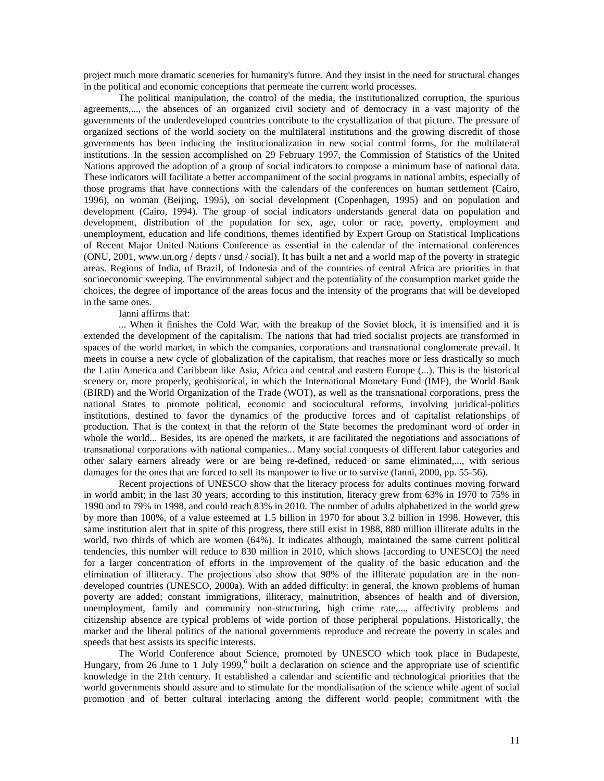project much more dramatic sceneries for humanity's future. And they insist in the need for structural changes in the political and economic conceptions that permeate the current world processes.

The political manipulation, the control of the media, the institutionalized corruption, the spurious agreements,..., the absences of an organized civil society and of democracy in a vast majority of the governments of the underdeveloped countries contribute to the crystallization of that picture. The pressure of organized sections of the world society on the multilateral institutions and the growing discredit of those governments has been inducing the institucionalization in new social control forms, for the multilateral institutions. In the session accomplished on 29 February 1997, the Commission of Statistics of the United Nations approved the adoption of a group of social indicators to compose a minimum base of national data. These indicators will facilitate a better accompaniment of the social programs in national ambits, especially of those programs that have connections with the calendars of the conferences on human settlement (Cairo, 1996), on woman (Beijing, 1995), on social development (Copenhagen, 1995) and on population and development (Cairo, 1994). The group of social indicators understands general data on population and development, distribution of the population for sex, age, color or race, poverty, employment and unemployment, education and life conditions, themes identified by Expert Group on Statistical Implications of Recent Major United Nations Conference as essential in the calendar of the international conferences (ONU, 2001, www.un.org / depts / unsd / social). It has built a net and a world map of the poverty in strategic areas. Regions of India, of Brazil, of Indonesia and of the countries of central Africa are priorities in that socioeconomic sweeping. The environmental subject and the potentiality of the consumption market guide the choices, the degree of importance of the areas focus and the intensity of the programs that will be developed in the same ones.

### Ianni affirms that:

... When it finishes the Cold War, with the breakup of the Soviet block, it is intensified and it is extended the development of the capitalism. The nations that had tried socialist projects are transformed in spaces of the world market, in which the companies, corporations and transnational conglomerate prevail. It meets in course a new cycle of globalization of the capitalism, that reaches more or less drastically so much the Latin America and Caribbean like Asia, Africa and central and eastern Europe (...). This is the historical scenery or, more properly, geohistorical, in which the International Monetary Fund (IMF), the World Bank (BIRD) and the World Organization of the Trade (WOT), as well as the transnational corporations, press the national States to promote political, economic and sociocultural reforms, involving juridical-politics institutions, destined to favor the dynamics of the productive forces and of capitalist relationships of production. That is the context in that the reform of the State becomes the predominant word of order in whole the world... Besides, its are opened the markets, it are facilitated the negotiations and associations of transnational corporations with national companies... Many social conquests of different labor categories and other salary earners already were or are being re-defined, reduced or same eliminated,..., with serious damages for the ones that are forced to sell its manpower to live or to survive (Ianni, 2000, pp. 55-56).

Recent projections of UNESCO show that the literacy process for adults continues moving forward in world ambit; in the last 30 years, according to this institution, literacy grew from 63% in 1970 to 75% in 1990 and to 79% in 1998, and could reach 83% in 2010. The number of adults alphabetized in the world grew by more than 100%, of a value esteemed at 1.5 billion in 1970 for about 3.2 billion in 1998. However, this same institution alert that in spite of this progress, there still exist in 1988, 880 million illiterate adults in the world, two thirds of which are women (64%). It indicates although, maintained the same current political tendencies, this number will reduce to 830 million in 2010, which shows [according to UNESCO] the need for a larger concentration of efforts in the improvement of the quality of the basic education and the elimination of illiteracy. The projections also show that 98% of the illiterate population are in the nondeveloped countries (UNESCO, 2000a). With an added difficulty: in general, the known problems of human poverty are added; constant immigrations, illiteracy, malnutrition, absences of health and of diversion, unemployment, family and community non-structuring, high crime rate,..., affectivity problems and citizenship absence are typical problems of wide portion of those peripheral populations. Historically, the market and the liberal politics of the national governments reproduce and recreate the poverty in scales and speeds that best assists its specific interests.

The World Conference about Science, promoted by UNESCO which took place in Budapeste, Hungary, from 26 June to 1 July 1999, $<sup>6</sup>$  built a declaration on science and the appropriate use of scientific</sup> knowledge in the 21th century. It established a calendar and scientific and technological priorities that the world governments should assure and to stimulate for the mondialisation of the science while agent of social promotion and of better cultural interlacing among the different world people; commitment with the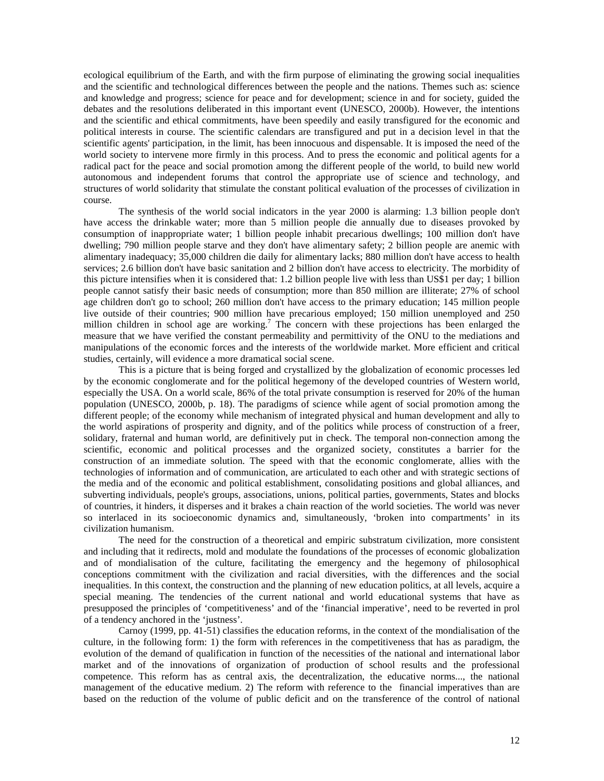ecological equilibrium of the Earth, and with the firm purpose of eliminating the growing social inequalities and the scientific and technological differences between the people and the nations. Themes such as: science and knowledge and progress; science for peace and for development; science in and for society, guided the debates and the resolutions deliberated in this important event (UNESCO, 2000b). However, the intentions and the scientific and ethical commitments, have been speedily and easily transfigured for the economic and political interests in course. The scientific calendars are transfigured and put in a decision level in that the scientific agents' participation, in the limit, has been innocuous and dispensable. It is imposed the need of the world society to intervene more firmly in this process. And to press the economic and political agents for a radical pact for the peace and social promotion among the different people of the world, to build new world autonomous and independent forums that control the appropriate use of science and technology, and structures of world solidarity that stimulate the constant political evaluation of the processes of civilization in course.

The synthesis of the world social indicators in the year 2000 is alarming: 1.3 billion people don't have access the drinkable water; more than 5 million people die annually due to diseases provoked by consumption of inappropriate water; 1 billion people inhabit precarious dwellings; 100 million don't have dwelling; 790 million people starve and they don't have alimentary safety; 2 billion people are anemic with alimentary inadequacy; 35,000 children die daily for alimentary lacks; 880 million don't have access to health services; 2.6 billion don't have basic sanitation and 2 billion don't have access to electricity. The morbidity of this picture intensifies when it is considered that: 1.2 billion people live with less than US\$1 per day; 1 billion people cannot satisfy their basic needs of consumption; more than 850 million are illiterate; 27% of school age children don't go to school; 260 million don't have access to the primary education; 145 million people live outside of their countries; 900 million have precarious employed; 150 million unemployed and 250 million children in school age are working.<sup>7</sup> The concern with these projections has been enlarged the measure that we have verified the constant permeability and permittivity of the ONU to the mediations and manipulations of the economic forces and the interests of the worldwide market. More efficient and critical studies, certainly, will evidence a more dramatical social scene.

This is a picture that is being forged and crystallized by the globalization of economic processes led by the economic conglomerate and for the political hegemony of the developed countries of Western world, especially the USA. On a world scale, 86% of the total private consumption is reserved for 20% of the human population (UNESCO, 2000b, p. 18). The paradigms of science while agent of social promotion among the different people; of the economy while mechanism of integrated physical and human development and ally to the world aspirations of prosperity and dignity, and of the politics while process of construction of a freer, solidary, fraternal and human world, are definitively put in check. The temporal non-connection among the scientific, economic and political processes and the organized society, constitutes a barrier for the construction of an immediate solution. The speed with that the economic conglomerate, allies with the technologies of information and of communication, are articulated to each other and with strategic sections of the media and of the economic and political establishment, consolidating positions and global alliances, and subverting individuals, people's groups, associations, unions, political parties, governments, States and blocks of countries, it hinders, it disperses and it brakes a chain reaction of the world societies. The world was never so interlaced in its socioeconomic dynamics and, simultaneously, 'broken into compartments' in its civilization humanism.

The need for the construction of a theoretical and empiric substratum civilization, more consistent and including that it redirects, mold and modulate the foundations of the processes of economic globalization and of mondialisation of the culture, facilitating the emergency and the hegemony of philosophical conceptions commitment with the civilization and racial diversities, with the differences and the social inequalities. In this context, the construction and the planning of new education politics, at all levels, acquire a special meaning. The tendencies of the current national and world educational systems that have as presupposed the principles of 'competitiveness' and of the 'financial imperative', need to be reverted in prol of a tendency anchored in the 'justness'.

Carnoy (1999, pp. 41-51) classifies the education reforms, in the context of the mondialisation of the culture, in the following form: 1) the form with references in the competitiveness that has as paradigm, the evolution of the demand of qualification in function of the necessities of the national and international labor market and of the innovations of organization of production of school results and the professional competence. This reform has as central axis, the decentralization, the educative norms..., the national management of the educative medium. 2) The reform with reference to the financial imperatives than are based on the reduction of the volume of public deficit and on the transference of the control of national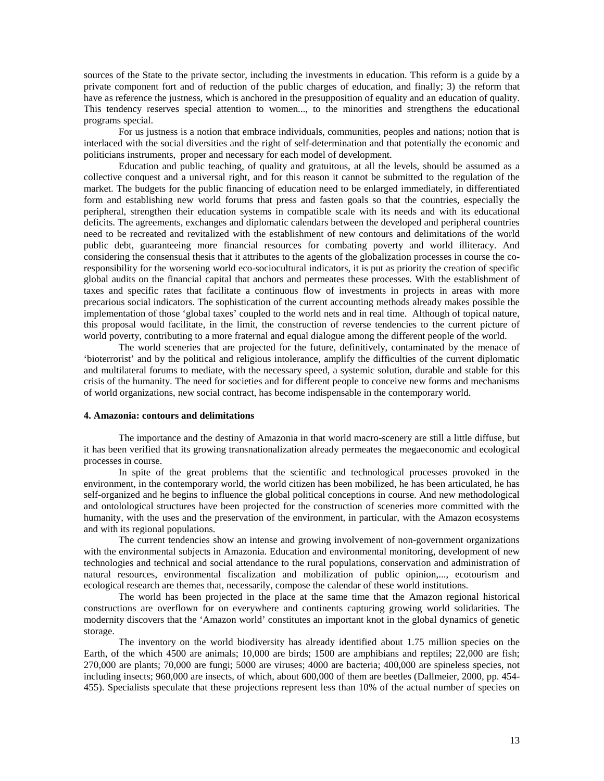sources of the State to the private sector, including the investments in education. This reform is a guide by a private component fort and of reduction of the public charges of education, and finally; 3) the reform that have as reference the justness, which is anchored in the presupposition of equality and an education of quality. This tendency reserves special attention to women..., to the minorities and strengthens the educational programs special.

For us justness is a notion that embrace individuals, communities, peoples and nations; notion that is interlaced with the social diversities and the right of self-determination and that potentially the economic and politicians instruments, proper and necessary for each model of development.

Education and public teaching, of quality and gratuitous, at all the levels, should be assumed as a collective conquest and a universal right, and for this reason it cannot be submitted to the regulation of the market. The budgets for the public financing of education need to be enlarged immediately, in differentiated form and establishing new world forums that press and fasten goals so that the countries, especially the peripheral, strengthen their education systems in compatible scale with its needs and with its educational deficits. The agreements, exchanges and diplomatic calendars between the developed and peripheral countries need to be recreated and revitalized with the establishment of new contours and delimitations of the world public debt, guaranteeing more financial resources for combating poverty and world illiteracy. And considering the consensual thesis that it attributes to the agents of the globalization processes in course the coresponsibility for the worsening world eco-sociocultural indicators, it is put as priority the creation of specific global audits on the financial capital that anchors and permeates these processes. With the establishment of taxes and specific rates that facilitate a continuous flow of investments in projects in areas with more precarious social indicators. The sophistication of the current accounting methods already makes possible the implementation of those 'global taxes' coupled to the world nets and in real time. Although of topical nature, this proposal would facilitate, in the limit, the construction of reverse tendencies to the current picture of world poverty, contributing to a more fraternal and equal dialogue among the different people of the world.

The world sceneries that are projected for the future, definitively, contaminated by the menace of 'bioterrorist' and by the political and religious intolerance, amplify the difficulties of the current diplomatic and multilateral forums to mediate, with the necessary speed, a systemic solution, durable and stable for this crisis of the humanity. The need for societies and for different people to conceive new forms and mechanisms of world organizations, new social contract, has become indispensable in the contemporary world.

#### **4. Amazonia: contours and delimitations**

The importance and the destiny of Amazonia in that world macro-scenery are still a little diffuse, but it has been verified that its growing transnationalization already permeates the megaeconomic and ecological processes in course.

In spite of the great problems that the scientific and technological processes provoked in the environment, in the contemporary world, the world citizen has been mobilized, he has been articulated, he has self-organized and he begins to influence the global political conceptions in course. And new methodological and ontolological structures have been projected for the construction of sceneries more committed with the humanity, with the uses and the preservation of the environment, in particular, with the Amazon ecosystems and with its regional populations.

The current tendencies show an intense and growing involvement of non-government organizations with the environmental subjects in Amazonia. Education and environmental monitoring, development of new technologies and technical and social attendance to the rural populations, conservation and administration of natural resources, environmental fiscalization and mobilization of public opinion,..., ecotourism and ecological research are themes that, necessarily, compose the calendar of these world institutions.

The world has been projected in the place at the same time that the Amazon regional historical constructions are overflown for on everywhere and continents capturing growing world solidarities. The modernity discovers that the 'Amazon world' constitutes an important knot in the global dynamics of genetic storage.

The inventory on the world biodiversity has already identified about 1.75 million species on the Earth, of the which 4500 are animals; 10,000 are birds; 1500 are amphibians and reptiles; 22,000 are fish; 270,000 are plants; 70,000 are fungi; 5000 are viruses; 4000 are bacteria; 400,000 are spineless species, not including insects; 960,000 are insects, of which, about 600,000 of them are beetles (Dallmeier, 2000, pp. 454- 455). Specialists speculate that these projections represent less than 10% of the actual number of species on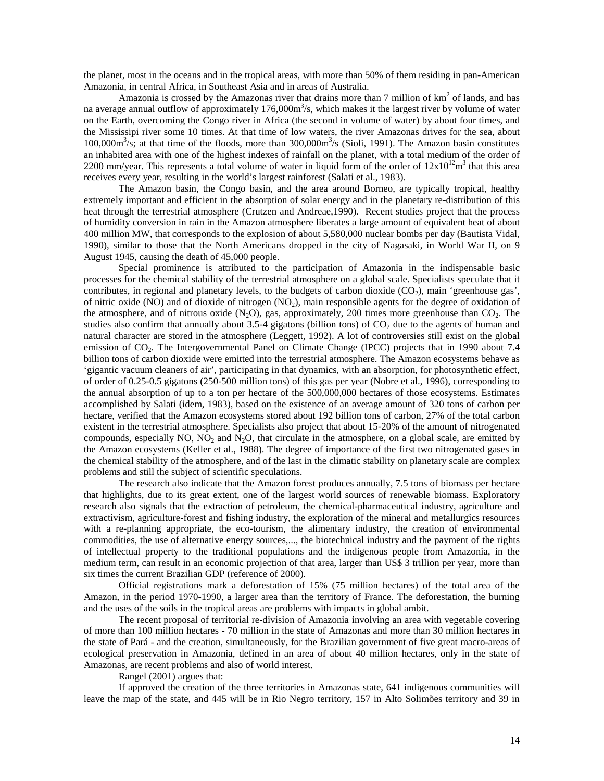the planet, most in the oceans and in the tropical areas, with more than 50% of them residing in pan-American Amazonia, in central Africa, in Southeast Asia and in areas of Australia.

Amazonia is crossed by the Amazonas river that drains more than  $7$  million of  $km<sup>2</sup>$  of lands, and has na average annual outflow of approximately 176,000m<sup>3</sup>/s, which makes it the largest river by volume of water on the Earth, overcoming the Congo river in Africa (the second in volume of water) by about four times, and the Mississipi river some 10 times. At that time of low waters, the river Amazonas drives for the sea, about  $100,000\,\text{m}^3/\text{s}$ ; at that time of the floods, more than  $300,000\,\text{m}^3/\text{s}$  (Sioli, 1991). The Amazon basin constitutes an inhabited area with one of the highest indexes of rainfall on the planet, with a total medium of the order of 2200 mm/year. This represents a total volume of water in liquid form of the order of  $12x10^{12}$ m<sup>3</sup> that this area receives every year, resulting in the world's largest rainforest (Salati et al., 1983).

The Amazon basin, the Congo basin, and the area around Borneo, are typically tropical, healthy extremely important and efficient in the absorption of solar energy and in the planetary re-distribution of this heat through the terrestrial atmosphere (Crutzen and Andreae,1990). Recent studies project that the process of humidity conversion in rain in the Amazon atmosphere liberates a large amount of equivalent heat of about 400 million MW, that corresponds to the explosion of about 5,580,000 nuclear bombs per day (Bautista Vidal, 1990), similar to those that the North Americans dropped in the city of Nagasaki, in World War II, on 9 August 1945, causing the death of 45,000 people.

Special prominence is attributed to the participation of Amazonia in the indispensable basic processes for the chemical stability of the terrestrial atmosphere on a global scale. Specialists speculate that it contributes, in regional and planetary levels, to the budgets of carbon dioxide  $(CO<sub>2</sub>)$ , main 'greenhouse gas', of nitric oxide (NO) and of dioxide of nitrogen  $(NO<sub>2</sub>)$ , main responsible agents for the degree of oxidation of the atmosphere, and of nitrous oxide  $(N_2O)$ , gas, approximately, 200 times more greenhouse than  $CO_2$ . The studies also confirm that annually about  $3.5-4$  gigatons (billion tons) of  $CO<sub>2</sub>$  due to the agents of human and natural character are stored in the atmosphere (Leggett, 1992). A lot of controversies still exist on the global emission of CO<sub>2</sub>. The Intergovernmental Panel on Climate Change (IPCC) projects that in 1990 about 7.4 billion tons of carbon dioxide were emitted into the terrestrial atmosphere. The Amazon ecosystems behave as 'gigantic vacuum cleaners of air', participating in that dynamics, with an absorption, for photosynthetic effect, of order of 0.25-0.5 gigatons (250-500 million tons) of this gas per year (Nobre et al., 1996), corresponding to the annual absorption of up to a ton per hectare of the 500,000,000 hectares of those ecosystems. Estimates accomplished by Salati (idem, 1983), based on the existence of an average amount of 320 tons of carbon per hectare, verified that the Amazon ecosystems stored about 192 billion tons of carbon, 27% of the total carbon existent in the terrestrial atmosphere. Specialists also project that about 15-20% of the amount of nitrogenated compounds, especially NO,  $NO<sub>2</sub>$  and  $N<sub>2</sub>O$ , that circulate in the atmosphere, on a global scale, are emitted by the Amazon ecosystems (Keller et al., 1988). The degree of importance of the first two nitrogenated gases in the chemical stability of the atmosphere, and of the last in the climatic stability on planetary scale are complex problems and still the subject of scientific speculations.

The research also indicate that the Amazon forest produces annually, 7.5 tons of biomass per hectare that highlights, due to its great extent, one of the largest world sources of renewable biomass. Exploratory research also signals that the extraction of petroleum, the chemical-pharmaceutical industry, agriculture and extractivism, agriculture-forest and fishing industry, the exploration of the mineral and metallurgics resources with a re-planning appropriate, the eco-tourism, the alimentary industry, the creation of environmental commodities, the use of alternative energy sources,..., the biotechnical industry and the payment of the rights of intellectual property to the traditional populations and the indigenous people from Amazonia, in the medium term, can result in an economic projection of that area, larger than US\$ 3 trillion per year, more than six times the current Brazilian GDP (reference of 2000).

Official registrations mark a deforestation of 15% (75 million hectares) of the total area of the Amazon, in the period 1970-1990, a larger area than the territory of France. The deforestation, the burning and the uses of the soils in the tropical areas are problems with impacts in global ambit.

The recent proposal of territorial re-division of Amazonia involving an area with vegetable covering of more than 100 million hectares - 70 million in the state of Amazonas and more than 30 million hectares in the state of Pará - and the creation, simultaneously, for the Brazilian government of five great macro-areas of ecological preservation in Amazonia, defined in an area of about 40 million hectares, only in the state of Amazonas, are recent problems and also of world interest.

Rangel (2001) argues that:

If approved the creation of the three territories in Amazonas state, 641 indigenous communities will leave the map of the state, and 445 will be in Rio Negro territory, 157 in Alto Solimões territory and 39 in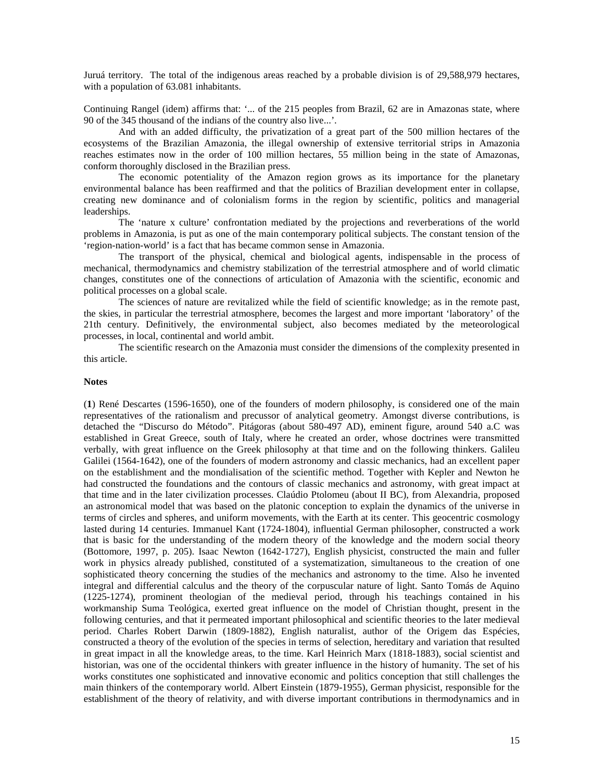Juruá territory. The total of the indigenous areas reached by a probable division is of 29,588,979 hectares, with a population of 63.081 inhabitants.

Continuing Rangel (idem) affirms that: '... of the 215 peoples from Brazil, 62 are in Amazonas state, where 90 of the 345 thousand of the indians of the country also live...'.

And with an added difficulty, the privatization of a great part of the 500 million hectares of the ecosystems of the Brazilian Amazonia, the illegal ownership of extensive territorial strips in Amazonia reaches estimates now in the order of 100 million hectares, 55 million being in the state of Amazonas, conform thoroughly disclosed in the Brazilian press.

The economic potentiality of the Amazon region grows as its importance for the planetary environmental balance has been reaffirmed and that the politics of Brazilian development enter in collapse, creating new dominance and of colonialism forms in the region by scientific, politics and managerial leaderships.

The 'nature x culture' confrontation mediated by the projections and reverberations of the world problems in Amazonia, is put as one of the main contemporary political subjects. The constant tension of the 'region-nation-world' is a fact that has became common sense in Amazonia.

The transport of the physical, chemical and biological agents, indispensable in the process of mechanical, thermodynamics and chemistry stabilization of the terrestrial atmosphere and of world climatic changes, constitutes one of the connections of articulation of Amazonia with the scientific, economic and political processes on a global scale.

The sciences of nature are revitalized while the field of scientific knowledge; as in the remote past, the skies, in particular the terrestrial atmosphere, becomes the largest and more important 'laboratory' of the 21th century. Definitively, the environmental subject, also becomes mediated by the meteorological processes, in local, continental and world ambit.

The scientific research on the Amazonia must consider the dimensions of the complexity presented in this article.

### **Notes**

(**1**) René Descartes (1596-1650), one of the founders of modern philosophy, is considered one of the main representatives of the rationalism and precussor of analytical geometry. Amongst diverse contributions, is detached the "Discurso do Método". Pitágoras (about 580-497 AD), eminent figure, around 540 a.C was established in Great Greece, south of Italy, where he created an order, whose doctrines were transmitted verbally, with great influence on the Greek philosophy at that time and on the following thinkers. Galileu Galilei (1564-1642), one of the founders of modern astronomy and classic mechanics, had an excellent paper on the establishment and the mondialisation of the scientific method. Together with Kepler and Newton he had constructed the foundations and the contours of classic mechanics and astronomy, with great impact at that time and in the later civilization processes. Claúdio Ptolomeu (about II BC), from Alexandria, proposed an astronomical model that was based on the platonic conception to explain the dynamics of the universe in terms of circles and spheres, and uniform movements, with the Earth at its center. This geocentric cosmology lasted during 14 centuries. Immanuel Kant (1724-1804), influential German philosopher, constructed a work that is basic for the understanding of the modern theory of the knowledge and the modern social theory (Bottomore, 1997, p. 205). Isaac Newton (1642-1727), English physicist, constructed the main and fuller work in physics already published, constituted of a systematization, simultaneous to the creation of one sophisticated theory concerning the studies of the mechanics and astronomy to the time. Also he invented integral and differential calculus and the theory of the corpuscular nature of light. Santo Tomás de Aquino (1225-1274), prominent theologian of the medieval period, through his teachings contained in his workmanship Suma Teológica, exerted great influence on the model of Christian thought, present in the following centuries, and that it permeated important philosophical and scientific theories to the later medieval period. Charles Robert Darwin (1809-1882), English naturalist, author of the Origem das Espécies, constructed a theory of the evolution of the species in terms of selection, hereditary and variation that resulted in great impact in all the knowledge areas, to the time. Karl Heinrich Marx (1818-1883), social scientist and historian, was one of the occidental thinkers with greater influence in the history of humanity. The set of his works constitutes one sophisticated and innovative economic and politics conception that still challenges the main thinkers of the contemporary world. Albert Einstein (1879-1955), German physicist, responsible for the establishment of the theory of relativity, and with diverse important contributions in thermodynamics and in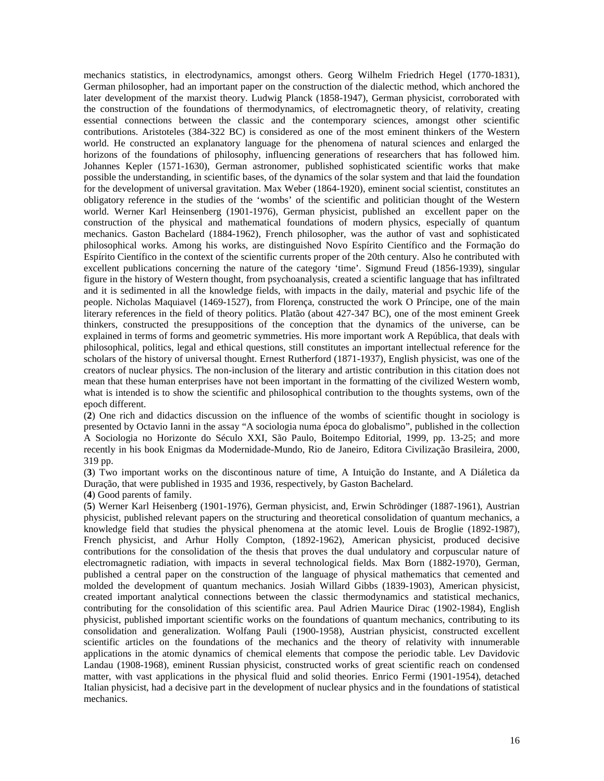mechanics statistics, in electrodynamics, amongst others. Georg Wilhelm Friedrich Hegel (1770-1831), German philosopher, had an important paper on the construction of the dialectic method, which anchored the later development of the marxist theory. Ludwig Planck (1858-1947), German physicist, corroborated with the construction of the foundations of thermodynamics, of electromagnetic theory, of relativity, creating essential connections between the classic and the contemporary sciences, amongst other scientific contributions. Aristoteles (384-322 BC) is considered as one of the most eminent thinkers of the Western world. He constructed an explanatory language for the phenomena of natural sciences and enlarged the horizons of the foundations of philosophy, influencing generations of researchers that has followed him. Johannes Kepler (1571-1630), German astronomer, published sophisticated scientific works that make possible the understanding, in scientific bases, of the dynamics of the solar system and that laid the foundation for the development of universal gravitation. Max Weber (1864-1920), eminent social scientist, constitutes an obligatory reference in the studies of the 'wombs' of the scientific and politician thought of the Western world. Werner Karl Heinsenberg (1901-1976), German physicist, published an excellent paper on the construction of the physical and mathematical foundations of modern physics, especially of quantum mechanics. Gaston Bachelard (1884-1962), French philosopher, was the author of vast and sophisticated philosophical works. Among his works, are distinguished Novo Espírito Científico and the Formação do Espírito Científico in the context of the scientific currents proper of the 20th century. Also he contributed with excellent publications concerning the nature of the category 'time'. Sigmund Freud (1856-1939), singular figure in the history of Western thought, from psychoanalysis, created a scientific language that has infiltrated and it is sedimented in all the knowledge fields, with impacts in the daily, material and psychic life of the people. Nicholas Maquiavel (1469-1527), from Florença, constructed the work O Príncipe, one of the main literary references in the field of theory politics. Platão (about 427-347 BC), one of the most eminent Greek thinkers, constructed the presuppositions of the conception that the dynamics of the universe, can be explained in terms of forms and geometric symmetries. His more important work A República, that deals with philosophical, politics, legal and ethical questions, still constitutes an important intellectual reference for the scholars of the history of universal thought. Ernest Rutherford (1871-1937), English physicist, was one of the creators of nuclear physics. The non-inclusion of the literary and artistic contribution in this citation does not mean that these human enterprises have not been important in the formatting of the civilized Western womb, what is intended is to show the scientific and philosophical contribution to the thoughts systems, own of the epoch different.

(**2**) One rich and didactics discussion on the influence of the wombs of scientific thought in sociology is presented by Octavio Ianni in the assay "A sociologia numa época do globalismo", published in the collection A Sociologia no Horizonte do Século XXI, São Paulo, Boitempo Editorial, 1999, pp. 13-25; and more recently in his book Enigmas da Modernidade-Mundo, Rio de Janeiro, Editora Civilização Brasileira, 2000, 319 pp.

(**3**) Two important works on the discontinous nature of time, A Intuição do Instante, and A Diáletica da Duração, that were published in 1935 and 1936, respectively, by Gaston Bachelard.

(**4**) Good parents of family.

(**5**) Werner Karl Heisenberg (1901-1976), German physicist, and, Erwin Schrödinger (1887-1961), Austrian physicist, published relevant papers on the structuring and theoretical consolidation of quantum mechanics, a knowledge field that studies the physical phenomena at the atomic level. Louis de Broglie (1892-1987), French physicist, and Arhur Holly Compton, (1892-1962), American physicist, produced decisive contributions for the consolidation of the thesis that proves the dual undulatory and corpuscular nature of electromagnetic radiation, with impacts in several technological fields. Max Born (1882-1970), German, published a central paper on the construction of the language of physical mathematics that cemented and molded the development of quantum mechanics. Josiah Willard Gibbs (1839-1903), American physicist, created important analytical connections between the classic thermodynamics and statistical mechanics, contributing for the consolidation of this scientific area. Paul Adrien Maurice Dirac (1902-1984), English physicist, published important scientific works on the foundations of quantum mechanics, contributing to its consolidation and generalization. Wolfang Pauli (1900-1958), Austrian physicist, constructed excellent scientific articles on the foundations of the mechanics and the theory of relativity with innumerable applications in the atomic dynamics of chemical elements that compose the periodic table. Lev Davidovic Landau (1908-1968), eminent Russian physicist, constructed works of great scientific reach on condensed matter, with vast applications in the physical fluid and solid theories. Enrico Fermi (1901-1954), detached Italian physicist, had a decisive part in the development of nuclear physics and in the foundations of statistical mechanics.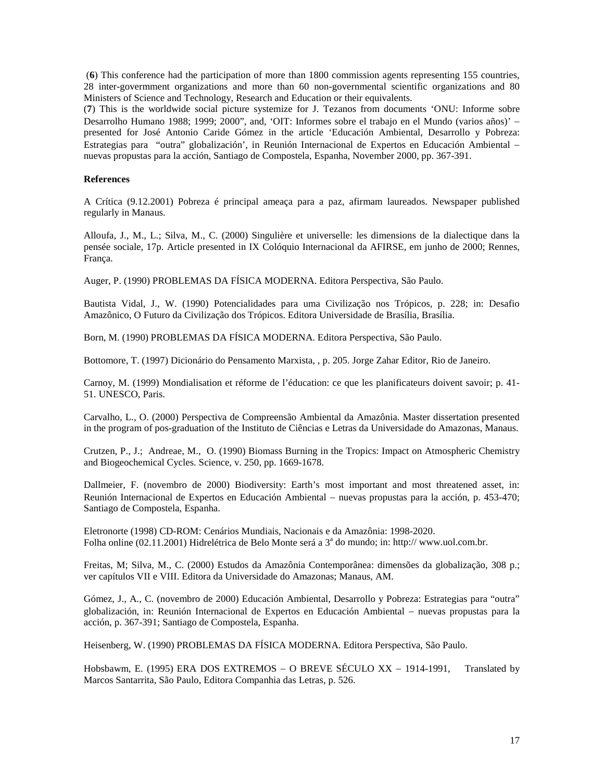(**6**) This conference had the participation of more than 1800 commission agents representing 155 countries, 28 inter-govermment organizations and more than 60 non-governmental scientific organizations and 80 Ministers of Science and Technology, Research and Education or their equivalents.

(**7**) This is the worldwide social picture systemize for J. Tezanos from documents 'ONU: Informe sobre Desarrolho Humano 1988; 1999; 2000", and, 'OIT: Informes sobre el trabajo en el Mundo (varios años)' − presented for José Antonio Caride Gómez in the article 'Educación Ambiental, Desarrollo y Pobreza: Estrategias para "outra" globalización', in Reunión Internacional de Expertos en Educación Ambiental − nuevas propustas para la acción, Santiago de Compostela, Espanha, November 2000, pp. 367-391.

# **References**

A Crítica (9.12.2001) Pobreza é principal ameaça para a paz, afirmam laureados. Newspaper published regularly in Manaus.

Alloufa, J., M., L.; Silva, M., C. (2000) Singulière et universelle: les dimensions de la dialectique dans la pensée sociale, 17p. Article presented in IX Colóquio Internacional da AFIRSE, em junho de 2000; Rennes, França.

Auger, P. (1990) PROBLEMAS DA FÍSICA MODERNA. Editora Perspectiva, São Paulo.

Bautista Vidal, J., W. (1990) Potencialidades para uma Civilização nos Trópicos, p. 228; in: Desafio Amazônico, O Futuro da Civilização dos Trópicos. Editora Universidade de Brasília, Brasília.

Born, M. (1990) PROBLEMAS DA FÍSICA MODERNA. Editora Perspectiva, São Paulo.

Bottomore, T. (1997) Dicionário do Pensamento Marxista, , p. 205. Jorge Zahar Editor, Rio de Janeiro.

Carnoy, M. (1999) Mondialisation et réforme de l'éducation: ce que les planificateurs doivent savoir; p. 41- 51. UNESCO, Paris.

Carvalho, L., O. (2000) Perspectiva de Compreensão Ambiental da Amazônia. Master dissertation presented in the program of pos-graduation of the Instituto de Ciências e Letras da Universidade do Amazonas, Manaus.

Crutzen, P., J.; Andreae, M., O. (1990) Biomass Burning in the Tropics: Impact on Atmospheric Chemistry and Biogeochemical Cycles. Science, v. 250, pp. 1669-1678.

Dallmeier, F. (novembro de 2000) Biodiversity: Earth's most important and most threatened asset, in: Reunión Internacional de Expertos en Educación Ambiental − nuevas propustas para la acción, p. 453-470; Santiago de Compostela, Espanha.

Eletronorte (1998) CD-ROM: Cenários Mundiais, Nacionais e da Amazônia: 1998-2020. Folha online (02.11.2001) Hidrelétrica de Belo Monte será a 3<sup>ª</sup> do mundo; in: http:// www.uol.com.br.

Freitas, M; Silva, M., C. (2000) Estudos da Amazônia Contemporânea: dimensões da globalização, 308 p.; ver capítulos VII e VIII. Editora da Universidade do Amazonas; Manaus, AM.

Gómez, J., A., C. (novembro de 2000) Educación Ambiental, Desarrollo y Pobreza: Estrategias para "outra" globalización, in: Reunión Internacional de Expertos en Educación Ambiental − nuevas propustas para la acción, p. 367-391; Santiago de Compostela, Espanha.

Heisenberg, W. (1990) PROBLEMAS DA FÍSICA MODERNA. Editora Perspectiva, São Paulo.

Hobsbawm, E. (1995) ERA DOS EXTREMOS − O BREVE SÉCULO XX − 1914-1991, Translated by Marcos Santarrita, São Paulo, Editora Companhia das Letras, p. 526.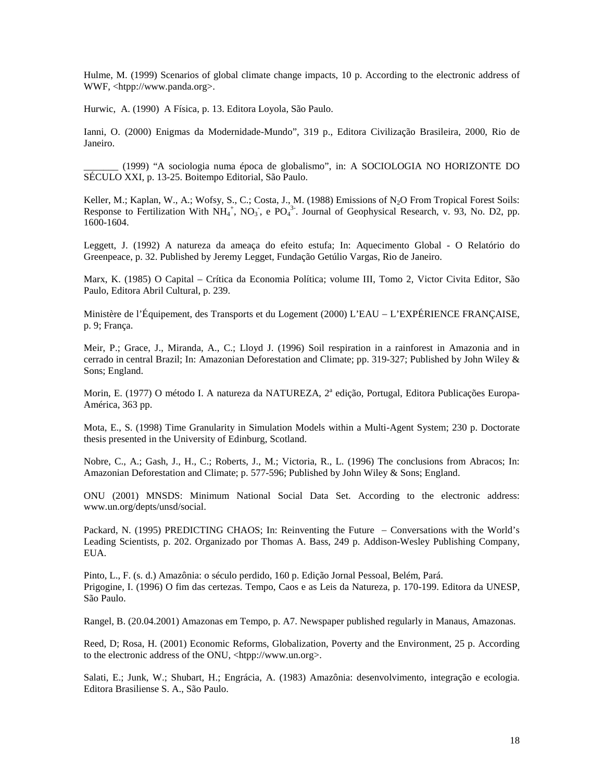Hulme, M. (1999) Scenarios of global climate change impacts, 10 p. According to the electronic address of WWF, <htpp://www.panda.org>.

Hurwic, A. (1990) A Física, p. 13. Editora Loyola, São Paulo.

Ianni, O. (2000) Enigmas da Modernidade-Mundo", 319 p., Editora Civilização Brasileira, 2000, Rio de Janeiro.

\_\_\_\_\_\_\_ (1999) "A sociologia numa época de globalismo", in: A SOCIOLOGIA NO HORIZONTE DO SÉCULO XXI, p. 13-25. Boitempo Editorial, São Paulo.

Keller, M.; Kaplan, W., A.; Wofsy, S., C.; Costa, J., M. (1988) Emissions of N<sub>2</sub>O From Tropical Forest Soils: Response to Fertilization With  $NH_4^+$ , NO<sub>3</sub>, e PO<sub>4</sub><sup>3</sup>. Journal of Geophysical Research, v. 93, No. D2, pp. 1600-1604.

Leggett, J. (1992) A natureza da ameaça do efeito estufa; In: Aquecimento Global - O Relatório do Greenpeace, p. 32. Published by Jeremy Legget, Fundação Getúlio Vargas, Rio de Janeiro.

Marx, K. (1985) O Capital – Crítica da Economia Política; volume III, Tomo 2, Victor Civita Editor, São Paulo, Editora Abril Cultural, p. 239.

Ministère de l'Équipement, des Transports et du Logement (2000) L'EAU − L'EXPÉRIENCE FRANÇAISE, p. 9; França.

Meir, P.; Grace, J., Miranda, A., C.; Lloyd J. (1996) Soil respiration in a rainforest in Amazonia and in cerrado in central Brazil; In: Amazonian Deforestation and Climate; pp. 319-327; Published by John Wiley & Sons; England.

Morin, E. (1977) O método I. A natureza da NATUREZA, 2<sup>ª</sup> edição, Portugal, Editora Publicações Europa-América, 363 pp.

Mota, E., S. (1998) Time Granularity in Simulation Models within a Multi-Agent System; 230 p. Doctorate thesis presented in the University of Edinburg, Scotland.

Nobre, C., A.; Gash, J., H., C.; Roberts, J., M.; Victoria, R., L. (1996) The conclusions from Abracos; In: Amazonian Deforestation and Climate; p. 577-596; Published by John Wiley & Sons; England.

ONU (2001) MNSDS: Minimum National Social Data Set. According to the electronic address: www.un.org/depts/unsd/social.

Packard, N. (1995) PREDICTING CHAOS; In: Reinventing the Future − Conversations with the World's Leading Scientists, p. 202. Organizado por Thomas A. Bass, 249 p. Addison-Wesley Publishing Company, EUA.

Pinto, L., F. (s. d.) Amazônia: o século perdido, 160 p. Edição Jornal Pessoal, Belém, Pará. Prigogine, I. (1996) O fim das certezas. Tempo, Caos e as Leis da Natureza, p. 170-199. Editora da UNESP, São Paulo.

Rangel, B. (20.04.2001) Amazonas em Tempo, p. A7. Newspaper published regularly in Manaus, Amazonas.

Reed, D; Rosa, H. (2001) Economic Reforms, Globalization, Poverty and the Environment, 25 p. According to the electronic address of the ONU, <htpp://www.un.org>.

Salati, E.; Junk, W.; Shubart, H.; Engrácia, A. (1983) Amazônia: desenvolvimento, integração e ecologia. Editora Brasiliense S. A., São Paulo.